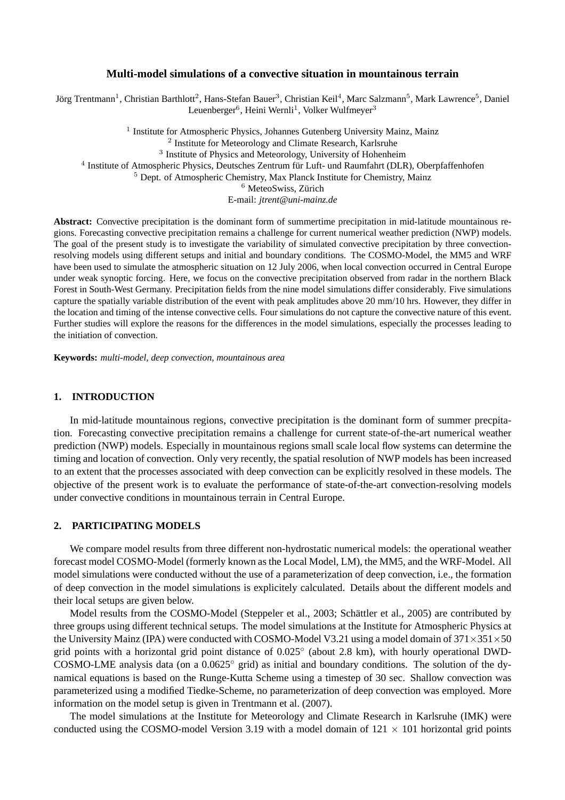#### **Multi-model simulations of a convective situation in mountainous terrain**

Jörg Trentmann<sup>1</sup>, Christian Barthlott<sup>2</sup>, Hans-Stefan Bauer<sup>3</sup>, Christian Keil<sup>4</sup>, Marc Salzmann<sup>5</sup>, Mark Lawrence<sup>5</sup>, Daniel Leuenberger<sup>6</sup>, Heini Wernli<sup>1</sup>, Volker Wulfmeyer<sup>3</sup>

<sup>1</sup> Institute for Atmospheric Physics, Johannes Gutenberg University Mainz, Mainz <sup>2</sup> Institute for Meteorology and Climate Research, Karlsruhe <sup>3</sup> Institute of Physics and Meteorology, University of Hohenheim 4 Institute of Atmospheric Physics, Deutsches Zentrum für Luft- und Raumfahrt (DLR), Oberpfaffenhofen <sup>5</sup> Dept. of Atmospheric Chemistry, Max Planck Institute for Chemistry, Mainz <sup>6</sup> MeteoSwiss, Zürich E-mail: *jtrent@uni-mainz.de*

**Abstract:** Convective precipitation is the dominant form of summertime precipitation in mid-latitude mountainous regions. Forecasting convective precipitation remains a challenge for current numerical weather prediction (NWP) models. The goal of the present study is to investigate the variability of simulated convective precipitation by three convectionresolving models using different setups and initial and boundary conditions. The COSMO-Model, the MM5 and WRF have been used to simulate the atmospheric situation on 12 July 2006, when local convection occurred in Central Europe under weak synoptic forcing. Here, we focus on the convective precipitation observed from radar in the northern Black Forest in South-West Germany. Precipitation fields from the nine model simulations differ considerably. Five simulations capture the spatially variable distribution of the event with peak amplitudes above 20 mm/10 hrs. However, they differ in the location and timing of the intense convective cells. Four simulations do not capture the convective nature of this event. Further studies will explore the reasons for the differences in the model simulations, especially the processes leading to the initiation of convection.

**Keywords:** *multi-model, deep convection, mountainous area*

#### **1. INTRODUCTION**

In mid-latitude mountainous regions, convective precipitation is the dominant form of summer precpitation. Forecasting convective precipitation remains a challenge for current state-of-the-art numerical weather prediction (NWP) models. Especially in mountainous regions small scale local flow systems can determine the timing and location of convection. Only very recently, the spatial resolution of NWP models has been increased to an extent that the processes associated with deep convection can be explicitly resolved in these models. The objective of the present work is to evaluate the performance of state-of-the-art convection-resolving models under convective conditions in mountainous terrain in Central Europe.

# **2. PARTICIPATING MODELS**

We compare model results from three different non-hydrostatic numerical models: the operational weather forecast model COSMO-Model (formerly known as the Local Model, LM), the MM5, and the WRF-Model. All model simulations were conducted without the use of a parameterization of deep convection, i.e., the formation of deep convection in the model simulations is explicitely calculated. Details about the different models and their local setups are given below.

Model results from the COSMO-Model (Steppeler et al., 2003; Schättler et al., 2005) are contributed by three groups using different technical setups. The model simulations at the Institute for Atmospheric Physics at the University Mainz (IPA) were conducted with COSMO-Model V3.21 using a model domain of  $371 \times 351 \times 50$ grid points with a horizontal grid point distance of 0.025° (about 2.8 km), with hourly operational DWD-COSMO-LME analysis data (on a 0.0625◦ grid) as initial and boundary conditions. The solution of the dynamical equations is based on the Runge-Kutta Scheme using a timestep of 30 sec. Shallow convection was parameterized using a modified Tiedke-Scheme, no parameterization of deep convection was employed. More information on the model setup is given in Trentmann et al. (2007).

The model simulations at the Institute for Meteorology and Climate Research in Karlsruhe (IMK) were conducted using the COSMO-model Version 3.19 with a model domain of  $121 \times 101$  horizontal grid points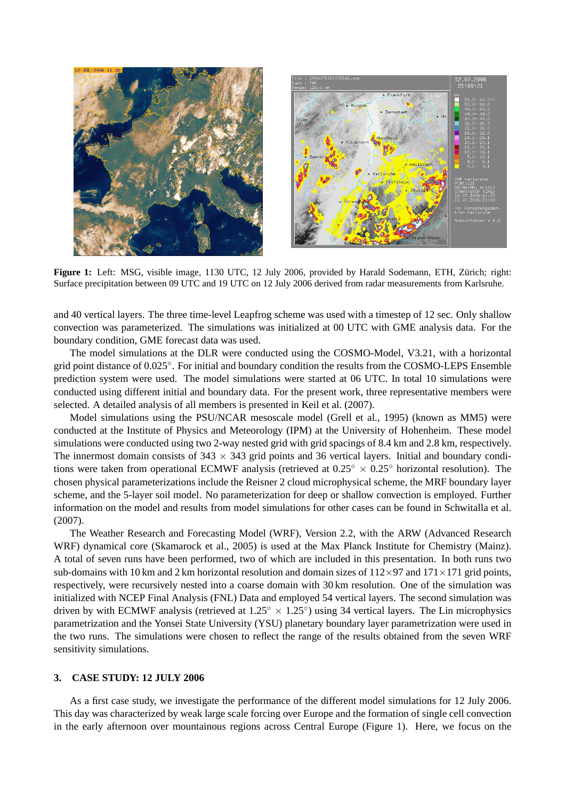

**Figure 1:** Left: MSG, visible image, 1130 UTC, 12 July 2006, provided by Harald Sodemann, ETH, Zürich; right: Surface precipitation between 09 UTC and 19 UTC on 12 July 2006 derived from radar measurements from Karlsruhe.

and 40 vertical layers. The three time-level Leapfrog scheme was used with a timestep of 12 sec. Only shallow convection was parameterized. The simulations was initialized at 00 UTC with GME analysis data. For the boundary condition, GME forecast data was used.

The model simulations at the DLR were conducted using the COSMO-Model, V3.21, with a horizontal grid point distance of 0.025°. For initial and boundary condition the results from the COSMO-LEPS Ensemble prediction system were used. The model simulations were started at 06 UTC. In total 10 simulations were conducted using different initial and boundary data. For the present work, three representative members were selected. A detailed analysis of all members is presented in Keil et al. (2007).

Model simulations using the PSU/NCAR mesoscale model (Grell et al., 1995) (known as MM5) were conducted at the Institute of Physics and Meteorology (IPM) at the University of Hohenheim. These model simulations were conducted using two 2-way nested grid with grid spacings of 8.4 km and 2.8 km, respectively. The innermost domain consists of  $343 \times 343$  grid points and 36 vertical layers. Initial and boundary conditions were taken from operational ECMWF analysis (retrieved at  $0.25° \times 0.25°$  horizontal resolution). The chosen physical parameterizations include the Reisner 2 cloud microphysical scheme, the MRF boundary layer scheme, and the 5-layer soil model. No parameterization for deep or shallow convection is employed. Further information on the model and results from model simulations for other cases can be found in Schwitalla et al. (2007).

The Weather Research and Forecasting Model (WRF), Version 2.2, with the ARW (Advanced Research WRF) dynamical core (Skamarock et al., 2005) is used at the Max Planck Institute for Chemistry (Mainz). A total of seven runs have been performed, two of which are included in this presentation. In both runs two sub-domains with 10 km and 2 km horizontal resolution and domain sizes of  $112\times97$  and  $171\times171$  grid points, respectively, were recursively nested into a coarse domain with 30 km resolution. One of the simulation was initialized with NCEP Final Analysis (FNL) Data and employed 54 vertical layers. The second simulation was driven by with ECMWF analysis (retrieved at  $1.25^{\circ} \times 1.25^{\circ}$ ) using 34 vertical layers. The Lin microphysics parametrization and the Yonsei State University (YSU) planetary boundary layer parametrization were used in the two runs. The simulations were chosen to reflect the range of the results obtained from the seven WRF sensitivity simulations.

### **3. CASE STUDY: 12 JULY 2006**

As a first case study, we investigate the performance of the different model simulations for 12 July 2006. This day was characterized by weak large scale forcing over Europe and the formation of single cell convection in the early afternoon over mountainous regions across Central Europe (Figure 1). Here, we focus on the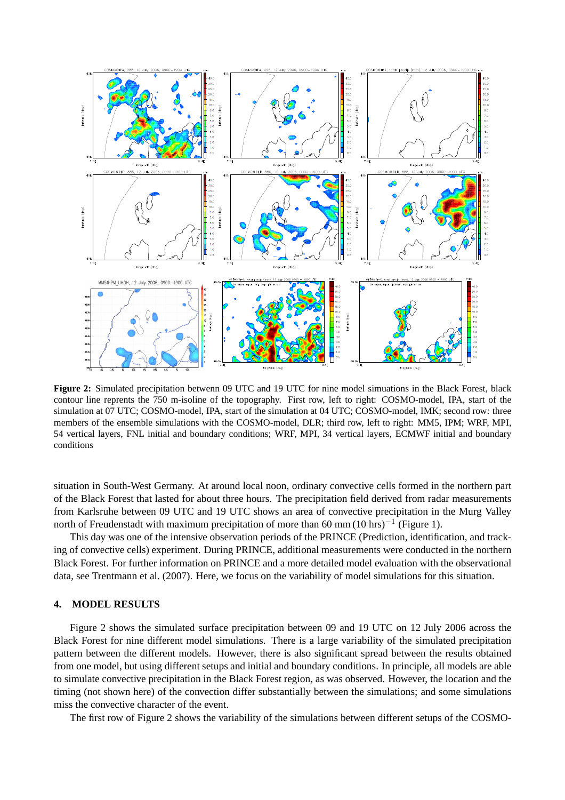

**Figure 2:** Simulated precipitation betwenn 09 UTC and 19 UTC for nine model simuations in the Black Forest, black contour line reprents the 750 m-isoline of the topography. First row, left to right: COSMO-model, IPA, start of the simulation at 07 UTC; COSMO-model, IPA, start of the simulation at 04 UTC; COSMO-model, IMK; second row: three members of the ensemble simulations with the COSMO-model, DLR; third row, left to right: MM5, IPM; WRF, MPI, 54 vertical layers, FNL initial and boundary conditions; WRF, MPI, 34 vertical layers, ECMWF initial and boundary conditions

situation in South-West Germany. At around local noon, ordinary convective cells formed in the northern part of the Black Forest that lasted for about three hours. The precipitation field derived from radar measurements from Karlsruhe between 09 UTC and 19 UTC shows an area of convective precipitation in the Murg Valley north of Freudenstadt with maximum precipitation of more than 60 mm (10 hrs)<sup>-1</sup> (Figure 1).

This day was one of the intensive observation periods of the PRINCE (Prediction, identification, and tracking of convective cells) experiment. During PRINCE, additional measurements were conducted in the northern Black Forest. For further information on PRINCE and a more detailed model evaluation with the observational data, see Trentmann et al. (2007). Here, we focus on the variability of model simulations for this situation.

## **4. MODEL RESULTS**

Figure 2 shows the simulated surface precipitation between 09 and 19 UTC on 12 July 2006 across the Black Forest for nine different model simulations. There is a large variability of the simulated precipitation pattern between the different models. However, there is also significant spread between the results obtained from one model, but using different setups and initial and boundary conditions. In principle, all models are able to simulate convective precipitation in the Black Forest region, as was observed. However, the location and the timing (not shown here) of the convection differ substantially between the simulations; and some simulations miss the convective character of the event.

The first row of Figure 2 shows the variability of the simulations between different setups of the COSMO-